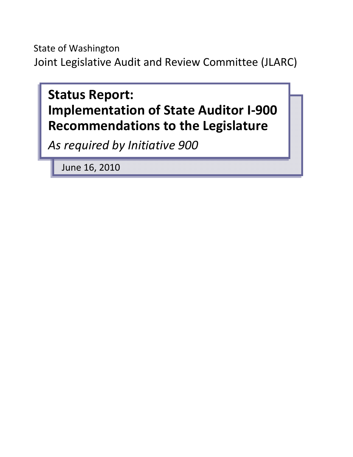State of Washington Joint Legislative Audit and Review Committee (JLARC)



June 16, 2010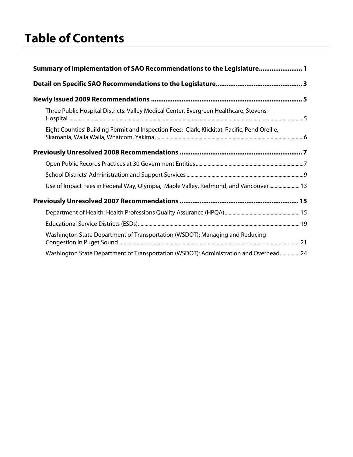# **Table of Contents**

| Summary of Implementation of SAO Recommendations to the Legislature 1                         |  |  |  |  |  |
|-----------------------------------------------------------------------------------------------|--|--|--|--|--|
|                                                                                               |  |  |  |  |  |
|                                                                                               |  |  |  |  |  |
| Three Public Hospital Districts: Valley Medical Center, Evergreen Healthcare, Stevens         |  |  |  |  |  |
| Eight Counties' Building Permit and Inspection Fees: Clark, Klickitat, Pacific, Pend Oreille, |  |  |  |  |  |
|                                                                                               |  |  |  |  |  |
|                                                                                               |  |  |  |  |  |
|                                                                                               |  |  |  |  |  |
| Use of Impact Fees in Federal Way, Olympia, Maple Valley, Redmond, and Vancouver  13          |  |  |  |  |  |
|                                                                                               |  |  |  |  |  |
|                                                                                               |  |  |  |  |  |
|                                                                                               |  |  |  |  |  |
| Washington State Department of Transportation (WSDOT): Managing and Reducing                  |  |  |  |  |  |
| Washington State Department of Transportation (WSDOT): Administration and Overhead 24         |  |  |  |  |  |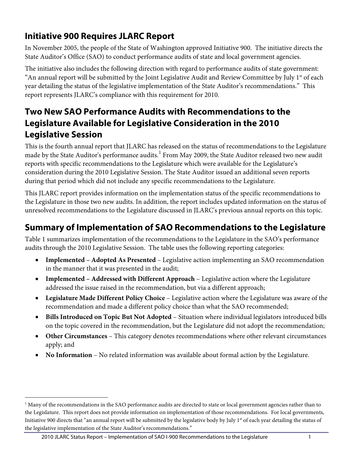# **Initiative 900 Requires JLARC Report**

In November 2005, the people of the State of Washington approved Initiative 900. The initiative directs the State Auditor's Office (SAO) to conduct performance audits of state and local government agencies.

The initiative also includes the following direction with regard to performance audits of state government: "An annual report will be submitted by the Joint Legislative Audit and Review Committee by July 1<sup>st</sup> of each year detailing the status of the legislative implementation of the State Auditor's recommendations." This report represents JLARC's compliance with this requirement for 2010.

# **Two New SAO Performance Audits with Recommendations to the Legislature Available for Legislative Consideration in the 2010 Legislative Session**

This is the fourth annual report that JLARC has released on the status of recommendations to the Legislature made by the State Auditor's performance audits. $^{\rm l}$  From May 2009, the State Auditor released two new audit reports with specific recommendations to the Legislature which were available for the Legislature's consideration during the 2010 Legislative Session. The State Auditor issued an additional seven reports during that period which did not include any specific recommendations to the Legislature.

This JLARC report provides information on the implementation status of the specific recommendations to the Legislature in those two new audits. In addition, the report includes updated information on the status of unresolved recommendations to the Legislature discussed in JLARC's previous annual reports on this topic.

# <span id="page-4-0"></span>**Summary of Implementation of SAO Recommendations to the Legislature**

Table 1 summarizes implementation of the recommendations to the Legislature in the SAO's performance audits through the 2010 Legislative Session. The table uses the following reporting categories:

- **Implemented – Adopted As Presented** Legislative action implementing an SAO recommendation in the manner that it was presented in the audit;
- **Implemented – Addressed with Different Approach** Legislative action where the Legislature addressed the issue raised in the recommendation, but via a different approach;
- **Legislature Made Different Policy Choice** Legislative action where the Legislature was aware of the recommendation and made a different policy choice than what the SAO recommended;
- **Bills Introduced on Topic But Not Adopted** Situation where individual legislators introduced bills on the topic covered in the recommendation, but the Legislature did not adopt the recommendation;
- **Other Circumstances** This category denotes recommendations where other relevant circumstances apply; and
- **No Information** No related information was available about formal action by the Legislature.

 $\overline{a}$ 

<span id="page-4-1"></span> $<sup>1</sup>$  Many of the recommendations in the SAO performance audits are directed to state or local government agencies rather than to</sup> the Legislature. This report does not provide information on implementation of those recommendations. For local governments, Initiative 900 directs that "an annual report will be submitted by the legislative body by July 1<sup>st</sup> of each year detailing the status of the legislative implementation of the State Auditor's recommendations."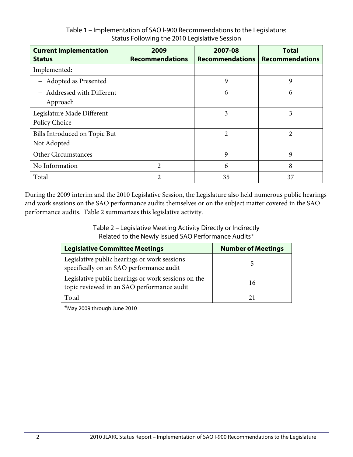| <b>Current Implementation</b><br><b>Status</b> | 2009<br><b>Recommendations</b> | 2007-08<br><b>Recommendations</b> | <b>Total</b><br><b>Recommendations</b> |
|------------------------------------------------|--------------------------------|-----------------------------------|----------------------------------------|
| Implemented:                                   |                                |                                   |                                        |
| - Adopted as Presented                         |                                | 9                                 | 9                                      |
| - Addressed with Different<br>Approach         |                                | 6                                 | 6                                      |
| Legislature Made Different<br>Policy Choice    |                                | 3                                 | 3                                      |
| Bills Introduced on Topic But<br>Not Adopted   |                                | 2                                 | 2                                      |
| <b>Other Circumstances</b>                     |                                | 9                                 | 9                                      |
| No Information                                 | 2                              | 6                                 | 8                                      |
| Total                                          | 2                              | 35                                | 37                                     |

## Table 1 – Implementation of SAO I-900 Recommendations to the Legislature: Status Following the 2010 Legislative Session

During the 2009 interim and the 2010 Legislative Session, the Legislature also held numerous public hearings and work sessions on the SAO performance audits themselves or on the subject matter covered in the SAO performance audits. Table 2 summarizes this legislative activity.

> Table 2 – Legislative Meeting Activity Directly or Indirectly Related to the Newly Issued SAO Performance Audits\*

| <b>Legislative Committee Meetings</b>                                                             | <b>Number of Meetings</b> |
|---------------------------------------------------------------------------------------------------|---------------------------|
| Legislative public hearings or work sessions<br>specifically on an SAO performance audit          |                           |
| Legislative public hearings or work sessions on the<br>topic reviewed in an SAO performance audit | 16                        |
| Total                                                                                             |                           |

\*May 2009 through June 2010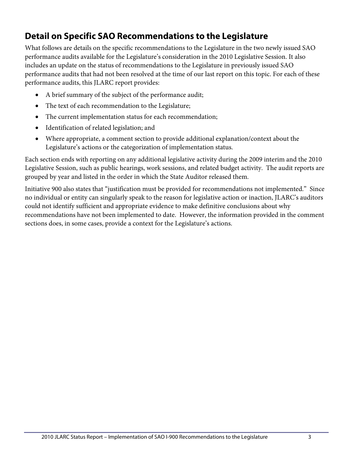# <span id="page-6-0"></span>**Detail on Specific SAO Recommendations to the Legislature**

What follows are details on the specific recommendations to the Legislature in the two newly issued SAO performance audits available for the Legislature's consideration in the 2010 Legislative Session. It also includes an update on the status of recommendations to the Legislature in previously issued SAO performance audits that had not been resolved at the time of our last report on this topic. For each of these performance audits, this JLARC report provides:

- A brief summary of the subject of the performance audit;
- The text of each recommendation to the Legislature;
- The current implementation status for each recommendation;
- Identification of related legislation; and
- Where appropriate, a comment section to provide additional explanation/context about the Legislature's actions or the categorization of implementation status.

Each section ends with reporting on any additional legislative activity during the 2009 interim and the 2010 Legislative Session, such as public hearings, work sessions, and related budget activity. The audit reports are grouped by year and listed in the order in which the State Auditor released them.

Initiative 900 also states that "justification must be provided for recommendations not implemented." Since no individual or entity can singularly speak to the reason for legislative action or inaction, JLARC's auditors could not identify sufficient and appropriate evidence to make definitive conclusions about why recommendations have not been implemented to date. However, the information provided in the comment sections does, in some cases, provide a context for the Legislature's actions.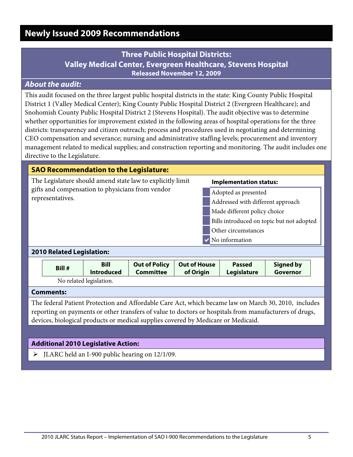# <span id="page-8-1"></span><span id="page-8-0"></span>**Newly Issued 2009 Recommendations**

# **Three Public Hospital Districts: Valley Medical Center, Evergreen Healthcare, Stevens Hospital Released November 12, 2009**

## *About the audit:*

This audit focused on the three largest public hospital districts in the state: King County Public Hospital District 1 (Valley Medical Center); King County Public Hospital District 2 (Evergreen Healthcare); and Snohomish County Public Hospital District 2 (Stevens Hospital). The audit objective was to determine whether opportunities for improvement existed in the following areas of hospital operations for the three districts: transparency and citizen outreach; process and procedures used in negotiating and determining CEO compensation and severance; nursing and administrative staffing levels; procurement and inventory management related to medical supplies; and construction reporting and monitoring. The audit includes one directive to the Legislature.

| <b>SAO Recommendation to the Legislature:</b>                                                                                      |                                           |  |  |  |  |  |
|------------------------------------------------------------------------------------------------------------------------------------|-------------------------------------------|--|--|--|--|--|
| The Legislature should amend state law to explicitly limit<br>gifts and compensation to physicians from vendor<br>representatives. | <b>Implementation status:</b>             |  |  |  |  |  |
|                                                                                                                                    | Adopted as presented                      |  |  |  |  |  |
|                                                                                                                                    | Addressed with different approach         |  |  |  |  |  |
|                                                                                                                                    | Made different policy choice              |  |  |  |  |  |
|                                                                                                                                    | Bills introduced on topic but not adopted |  |  |  |  |  |
|                                                                                                                                    | Other circumstances                       |  |  |  |  |  |
|                                                                                                                                    | $\vee$ No information                     |  |  |  |  |  |
| <b>2010 Related Legislation:</b>                                                                                                   |                                           |  |  |  |  |  |
|                                                                                                                                    |                                           |  |  |  |  |  |

|                         | Bill #           | <b>Bill</b><br><b>Introduced</b> | <b>Out of Policy</b><br><b>Committee</b> | <b>Out of House</b><br>of Origin | <b>Passed</b><br>Legislature | <b>Signed by</b><br>Governor |  |
|-------------------------|------------------|----------------------------------|------------------------------------------|----------------------------------|------------------------------|------------------------------|--|
| No related legislation. |                  |                                  |                                          |                                  |                              |                              |  |
|                         | <b>Comments:</b> |                                  |                                          |                                  |                              |                              |  |

The federal Patient Protection and Affordable Care Act, which became law on March 30, 2010, includes reporting on payments or other transfers of value to doctors or hospitals from manufacturers of drugs, devices, biological products or medical supplies covered by Medicare or Medicaid.

#### **Additional 2010 Legislative Action:**

 $\triangleright$  JLARC held an I-900 public hearing on 12/1/09.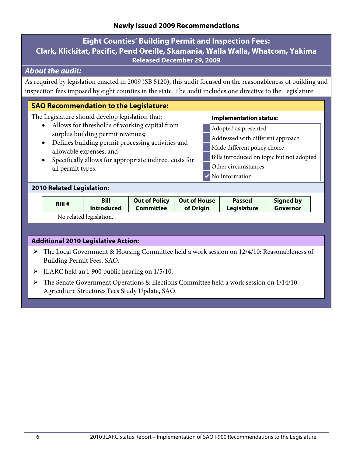## <span id="page-9-0"></span>**Eight Counties' Building Permit and Inspection Fees: Clark, Klickitat, Pacific, Pend Oreille, Skamania, Walla Walla, Whatcom, Yakima Released December 29, 2009**

## *About the audit:*

As required by legislation enacted in 2009 (SB 5120), this audit focused on the reasonableness of building and inspection fees imposed by eight counties in the state. The audit includes one directive to the Legislature.

## **SAO Recommendation to the Legislature:**

The Legislature should develop legislation that:

- Allows for thresholds of working capital from surplus building permit revenues;
- Defines building permit processing activities and allowable expenses; and
- Specifically allows for appropriate indirect costs for all permit types.

#### **Implementation status:**

- Adopted as presented
- Addressed with different approach
- Made different policy choice
- Bills introduced on topic but not adopted
- Other circumstances
- **V** No information

#### **2010 Related Legislation:**

| Bill # | Bill                    | <b>Out of Policy</b> | Out of House | <b>Passed</b> | <b>Signed by</b> |
|--------|-------------------------|----------------------|--------------|---------------|------------------|
|        | <b>Introduced</b>       | Committee            | of Origin    | Legislature   | Governor         |
|        | No related legislation. |                      |              |               |                  |

- The Local Government & Housing Committee held a work session on 12/4/10: Reasonableness of Building Permit Fees, SAO.
- $\triangleright$  JLARC held an I-900 public hearing on 1/5/10.
- The Senate Government Operations & Elections Committee held a work session on 1/14/10: Agriculture Structures Fees Study Update, SAO.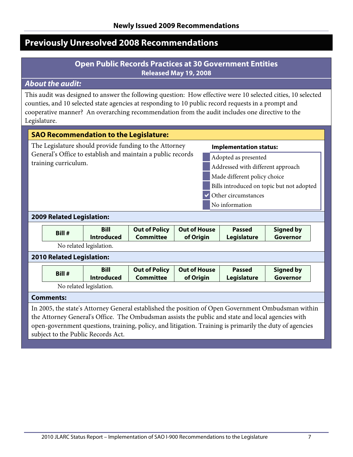# <span id="page-10-1"></span><span id="page-10-0"></span>**Previously Unresolved 2008 Recommendations**

## **Open Public Records Practices at 30 Government Entities Released May 19, 2008**

## *About the audit:*

This audit was designed to answer the following question: How effective were 10 selected cities, 10 selected counties, and 10 selected state agencies at responding to 10 public record requests in a prompt and cooperative manner? An overarching recommendation from the audit includes one directive to the Legislature.

| <b>SAO Recommendation to the Legislature:</b>                                                                                                                                                                                                                          |                                                                                         |                                  |                                          |                                  |                                     |                              |  |  |  |  |
|------------------------------------------------------------------------------------------------------------------------------------------------------------------------------------------------------------------------------------------------------------------------|-----------------------------------------------------------------------------------------|----------------------------------|------------------------------------------|----------------------------------|-------------------------------------|------------------------------|--|--|--|--|
|                                                                                                                                                                                                                                                                        | The Legislature should provide funding to the Attorney<br><b>Implementation status:</b> |                                  |                                          |                                  |                                     |                              |  |  |  |  |
| General's Office to establish and maintain a public records<br>Adopted as presented<br>training curriculum.<br>Addressed with different approach<br>Made different policy choice<br>Bills introduced on topic but not adopted<br>Other circumstances<br>No information |                                                                                         |                                  |                                          |                                  |                                     |                              |  |  |  |  |
|                                                                                                                                                                                                                                                                        | <b>2009 Related Legislation:</b>                                                        |                                  |                                          |                                  |                                     |                              |  |  |  |  |
|                                                                                                                                                                                                                                                                        | Bill #                                                                                  | <b>Bill</b><br><b>Introduced</b> | <b>Out of Policy</b><br><b>Committee</b> | <b>Out of House</b><br>of Origin | <b>Passed</b><br><b>Legislature</b> | <b>Signed by</b><br>Governor |  |  |  |  |
|                                                                                                                                                                                                                                                                        |                                                                                         | No related legislation.          |                                          |                                  |                                     |                              |  |  |  |  |
| <b>2010 Related Legislation:</b>                                                                                                                                                                                                                                       |                                                                                         |                                  |                                          |                                  |                                     |                              |  |  |  |  |
|                                                                                                                                                                                                                                                                        | Bill #                                                                                  | <b>Bill</b><br><b>Introduced</b> | <b>Out of Policy</b><br><b>Committee</b> | <b>Out of House</b><br>of Origin | <b>Passed</b><br><b>Legislature</b> | <b>Signed by</b><br>Governor |  |  |  |  |
|                                                                                                                                                                                                                                                                        | No related legislation.                                                                 |                                  |                                          |                                  |                                     |                              |  |  |  |  |

#### **Comments:**

In 2005, the state's Attorney General established the position of Open Government Ombudsman within the Attorney General's Office. The Ombudsman assists the public and state and local agencies with open-government questions, training, policy, and litigation. Training is primarily the duty of agencies subject to the Public Records Act.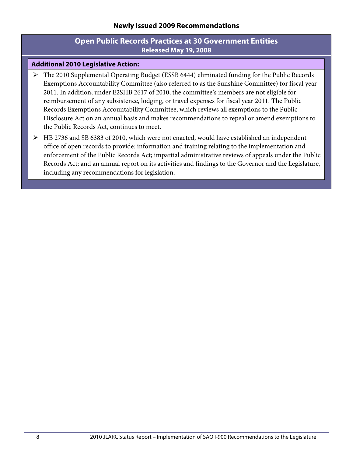## **Open Public Records Practices at 30 Government Entities Released May 19, 2008**

- The 2010 Supplemental Operating Budget (ESSB 6444) eliminated funding for the Public Records Exemptions Accountability Committee (also referred to as the Sunshine Committee) for fiscal year 2011. In addition, under E2SHB 2617 of 2010, the committee's members are not eligible for reimbursement of any subsistence, lodging, or travel expenses for fiscal year 2011. The Public Records Exemptions Accountability Committee, which reviews all exemptions to the Public Disclosure Act on an annual basis and makes recommendations to repeal or amend exemptions to the Public Records Act, continues to meet.
- HB 2736 and SB 6383 of 2010, which were not enacted, would have established an independent office of open records to provide: information and training relating to the implementation and enforcement of the Public Records Act; impartial administrative reviews of appeals under the Public Records Act; and an annual report on its activities and findings to the Governor and the Legislature, including any recommendations for legislation.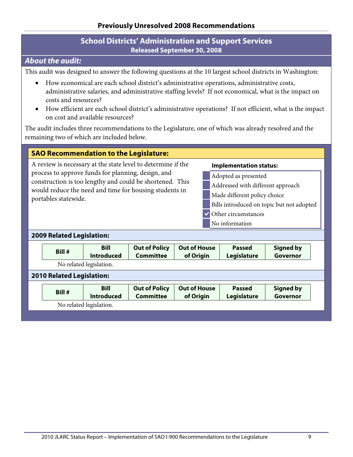## **School Districts' Administration and Support Services Released September 30, 2008**

## <span id="page-12-0"></span>*About the audit:*

This audit was designed to answer the following questions at the 10 largest school districts in Washington:

- How economical are each school district's administrative operations, administrative costs, administrative salaries, and administrative staffing levels? If not economical, what is the impact on costs and resources?
- How efficient are each school district's administrative operations? If not efficient, what is the impact on cost and available resources?

The audit includes three recommendations to the Legislature, one of which was already resolved and the remaining two of which are included below.

## **SAO Recommendation to the Legislature:**

A review is necessary at the state level to determine if the process to approve funds for planning, design, and construction is too lengthy and could be shortened. This would reduce the need and time for housing students in portables statewide.

#### **Implementation status:**

- Adopted as presented
- Addressed with different approach
- Made different policy choice
- Bills introduced on topic but not adopted
- Other circumstances
- No information

#### **2009 Related Legislation:**

|                                                             | Bill # | <b>Bill</b><br><b>Introduced</b> | <b>Out of Policy</b><br><b>Committee</b> | <b>Out of House</b><br>of Origin | <b>Passed</b><br>Legislature | <b>Signed by</b><br>Governor |  |  |
|-------------------------------------------------------------|--------|----------------------------------|------------------------------------------|----------------------------------|------------------------------|------------------------------|--|--|
| No related legislation.<br><b>2010 Related Legislation:</b> |        |                                  |                                          |                                  |                              |                              |  |  |
|                                                             | Bill # | <b>Bill</b><br><b>Introduced</b> | <b>Out of Policy</b><br><b>Committee</b> | <b>Out of House</b><br>of Origin | <b>Passed</b><br>Legislature | <b>Signed by</b><br>Governor |  |  |
| No related legislation.                                     |        |                                  |                                          |                                  |                              |                              |  |  |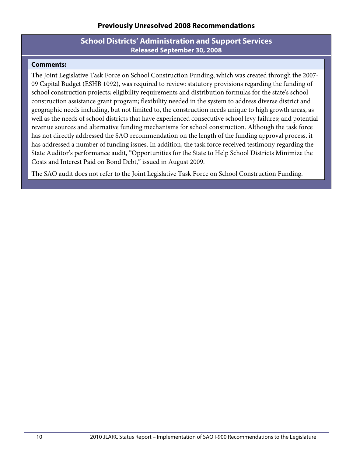## **School Districts' Administration and Support Services Released September 30, 2008**

#### **Comments:**

The Joint Legislative Task Force on School Construction Funding, which was created through the 2007- 09 Capital Budget (ESHB 1092), was required to review: statutory provisions regarding the funding of school construction projects; eligibility requirements and distribution formulas for the state's school construction assistance grant program; flexibility needed in the system to address diverse district and geographic needs including, but not limited to, the construction needs unique to high growth areas, as well as the needs of school districts that have experienced consecutive school levy failures; and potential revenue sources and alternative funding mechanisms for school construction. Although the task force has not directly addressed the SAO recommendation on the length of the funding approval process, it has addressed a number of funding issues. In addition, the task force received testimony regarding the State Auditor's performance audit, "Opportunities for the State to Help School Districts Minimize the Costs and Interest Paid on Bond Debt," issued in August 2009.

The SAO audit does not refer to the Joint Legislative Task Force on School Construction Funding.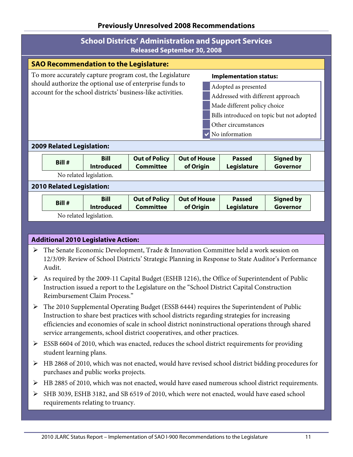## **Previously Unresolved 2008 Recommendations**

| <b>School Districts' Administration and Support Services</b><br><b>Released September 30, 2008</b>                                                                                                                                                                                                                                                                                                                                          |        |                                  |                                          |                                  |                                     |                              |  |  |  |
|---------------------------------------------------------------------------------------------------------------------------------------------------------------------------------------------------------------------------------------------------------------------------------------------------------------------------------------------------------------------------------------------------------------------------------------------|--------|----------------------------------|------------------------------------------|----------------------------------|-------------------------------------|------------------------------|--|--|--|
| <b>SAO Recommendation to the Legislature:</b>                                                                                                                                                                                                                                                                                                                                                                                               |        |                                  |                                          |                                  |                                     |                              |  |  |  |
| To more accurately capture program cost, the Legislature<br><b>Implementation status:</b><br>should authorize the optional use of enterprise funds to<br>Adopted as presented<br>account for the school districts' business-like activities.<br>Addressed with different approach<br>Made different policy choice<br>Bills introduced on topic but not adopted<br>Other circumstances<br>No information<br><b>2009 Related Legislation:</b> |        |                                  |                                          |                                  |                                     |                              |  |  |  |
|                                                                                                                                                                                                                                                                                                                                                                                                                                             | Bill # | <b>Bill</b><br><b>Introduced</b> | <b>Out of Policy</b><br><b>Committee</b> | <b>Out of House</b><br>of Origin | <b>Passed</b><br><b>Legislature</b> | <b>Signed by</b><br>Governor |  |  |  |
|                                                                                                                                                                                                                                                                                                                                                                                                                                             |        | No related legislation.          |                                          |                                  |                                     |                              |  |  |  |
| <b>2010 Related Legislation:</b>                                                                                                                                                                                                                                                                                                                                                                                                            |        |                                  |                                          |                                  |                                     |                              |  |  |  |
|                                                                                                                                                                                                                                                                                                                                                                                                                                             | Bill # | <b>Bill</b><br><b>Introduced</b> | <b>Out of Policy</b><br><b>Committee</b> | <b>Out of House</b><br>of Origin | <b>Passed</b><br>Legislature        | <b>Signed by</b><br>Governor |  |  |  |
|                                                                                                                                                                                                                                                                                                                                                                                                                                             |        | No related legislation.          |                                          |                                  |                                     |                              |  |  |  |

- The Senate Economic Development, Trade & Innovation Committee held a work session on 12/3/09: Review of School Districts' Strategic Planning in Response to State Auditor's Performance Audit.
- As required by the 2009-11 Capital Budget (ESHB 1216), the Office of Superintendent of Public Instruction issued a report to the Legislature on the "School District Capital Construction Reimbursement Claim Process."
- The 2010 Supplemental Operating Budget (ESSB 6444) requires the Superintendent of Public Instruction to share best practices with school districts regarding strategies for increasing efficiencies and economies of scale in school district noninstructional operations through shared service arrangements, school district cooperatives, and other practices.
- $\triangleright$  ESSB 6604 of 2010, which was enacted, reduces the school district requirements for providing student learning plans.
- $\triangleright$  HB 2868 of 2010, which was not enacted, would have revised school district bidding procedures for purchases and public works projects.
- HB 2885 of 2010, which was not enacted, would have eased numerous school district requirements.
- SHB 3039, ESHB 3182, and SB 6519 of 2010, which were not enacted, would have eased school requirements relating to truancy.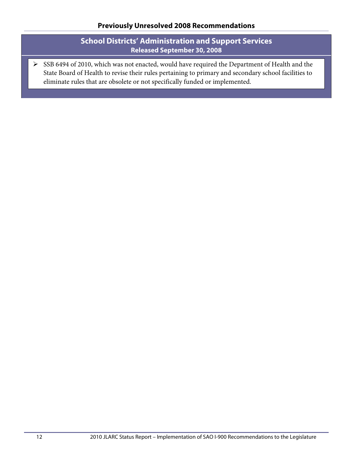## **School Districts' Administration and Support Services Released September 30, 2008**

SSB 6494 of 2010, which was not enacted, would have required the Department of Health and the State Board of Health to revise their rules pertaining to primary and secondary school facilities to eliminate rules that are obsolete or not specifically funded or implemented.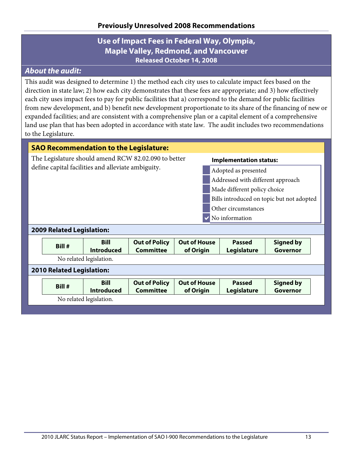# **Use of Impact Fees in Federal Way, Olympia, Maple Valley, Redmond, and Vancouver Released October 14, 2008**

# <span id="page-16-0"></span>*About the audit:*

This audit was designed to determine 1) the method each city uses to calculate impact fees based on the direction in state law; 2) how each city demonstrates that these fees are appropriate; and 3) how effectively each city uses impact fees to pay for public facilities that a) correspond to the demand for public facilities from new development, and b) benefit new development proportionate to its share of the financing of new or expanded facilities; and are consistent with a comprehensive plan or a capital element of a comprehensive land use plan that has been adopted in accordance with state law. The audit includes two recommendations to the Legislature.

| <b>SAO Recommendation to the Legislature:</b>                                                                                                                                              |                                  |                                                    |                      |                                           |                              |                                   |  |
|--------------------------------------------------------------------------------------------------------------------------------------------------------------------------------------------|----------------------------------|----------------------------------------------------|----------------------|-------------------------------------------|------------------------------|-----------------------------------|--|
| The Legislature should amend RCW 82.02.090 to better<br><b>Implementation status:</b>                                                                                                      |                                  |                                                    |                      |                                           |                              |                                   |  |
|                                                                                                                                                                                            |                                  | define capital facilities and alleviate ambiguity. |                      | Adopted as presented                      |                              |                                   |  |
|                                                                                                                                                                                            |                                  |                                                    |                      |                                           |                              | Addressed with different approach |  |
|                                                                                                                                                                                            |                                  |                                                    |                      |                                           | Made different policy choice |                                   |  |
|                                                                                                                                                                                            |                                  |                                                    |                      | Bills introduced on topic but not adopted |                              |                                   |  |
| Other circumstances                                                                                                                                                                        |                                  |                                                    |                      |                                           |                              |                                   |  |
| No information                                                                                                                                                                             |                                  |                                                    |                      |                                           |                              |                                   |  |
| <b>2009 Related Legislation:</b>                                                                                                                                                           |                                  |                                                    |                      |                                           |                              |                                   |  |
|                                                                                                                                                                                            | Bill #                           | Bill                                               | <b>Out of Policy</b> | <b>Out of House</b>                       | <b>Passed</b>                | <b>Signed by</b>                  |  |
|                                                                                                                                                                                            |                                  | <b>Introduced</b><br>No related legislation.       | <b>Committee</b>     | of Origin                                 | Legislature                  | Governor                          |  |
|                                                                                                                                                                                            |                                  |                                                    |                      |                                           |                              |                                   |  |
|                                                                                                                                                                                            | <b>2010 Related Legislation:</b> |                                                    |                      |                                           |                              |                                   |  |
| <b>Bill</b><br><b>Out of Policy</b><br><b>Out of House</b><br><b>Passed</b><br><b>Signed by</b><br>Bill #<br><b>Introduced</b><br><b>Committee</b><br>Legislature<br>of Origin<br>Governor |                                  |                                                    |                      |                                           |                              |                                   |  |
| No related legislation.                                                                                                                                                                    |                                  |                                                    |                      |                                           |                              |                                   |  |
|                                                                                                                                                                                            |                                  |                                                    |                      |                                           |                              |                                   |  |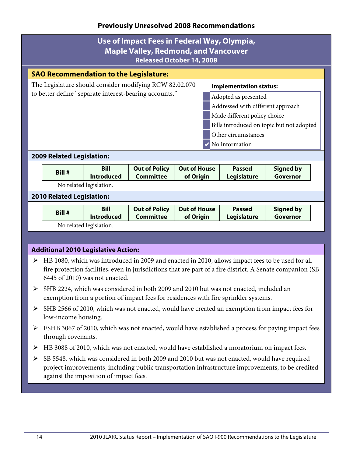## **Previously Unresolved 2008 Recommendations**

| Use of Impact Fees in Federal Way, Olympia,<br><b>Maple Valley, Redmond, and Vancouver</b><br><b>Released October 14, 2008</b> |                                           |  |  |  |  |
|--------------------------------------------------------------------------------------------------------------------------------|-------------------------------------------|--|--|--|--|
| <b>SAO Recommendation to the Legislature:</b>                                                                                  |                                           |  |  |  |  |
| The Legislature should consider modifying RCW 82.02.070                                                                        | <b>Implementation status:</b>             |  |  |  |  |
| to better define "separate interest-bearing accounts."                                                                         | Adopted as presented                      |  |  |  |  |
|                                                                                                                                | Addressed with different approach         |  |  |  |  |
|                                                                                                                                | Made different policy choice              |  |  |  |  |
|                                                                                                                                | Bills introduced on topic but not adopted |  |  |  |  |
|                                                                                                                                | Other circumstances                       |  |  |  |  |
|                                                                                                                                | No information                            |  |  |  |  |
| <b>2009 Related Legislation:</b>                                                                                               |                                           |  |  |  |  |

| Bill # | <b>Bill</b><br><b>Introduced</b> | Committee | Out of Policy   Out of House<br>of Origin | <b>Passed</b><br>Legislature | Signed by<br>Governor |
|--------|----------------------------------|-----------|-------------------------------------------|------------------------------|-----------------------|
|        |                                  |           |                                           |                              |                       |

No related legislation.

#### **2010 Related Legislation:**

| Bill #                  | Bill              | <b>Out of Policy</b> | <b>Out of House</b> | <b>Passed</b> | <b>Signed by</b> |  |
|-------------------------|-------------------|----------------------|---------------------|---------------|------------------|--|
|                         | <b>Introduced</b> | Committee            | of Origin           | Legislature   | Governor         |  |
| No related legislation. |                   |                      |                     |               |                  |  |

- HB 1080, which was introduced in 2009 and enacted in 2010, allows impact fees to be used for all fire protection facilities, even in jurisdictions that are part of a fire district. A Senate companion (SB 6445 of 2010) was not enacted.
- SHB 2224, which was considered in both 2009 and 2010 but was not enacted, included an exemption from a portion of impact fees for residences with fire sprinkler systems.
- SHB 2566 of 2010, which was not enacted, would have created an exemption from impact fees for low-income housing.
- ESHB 3067 of 2010, which was not enacted, would have established a process for paying impact fees through covenants.
- HB 3088 of 2010, which was not enacted, would have established a moratorium on impact fees.
- SB 5548, which was considered in both 2009 and 2010 but was not enacted, would have required project improvements, including public transportation infrastructure improvements, to be credited against the imposition of impact fees.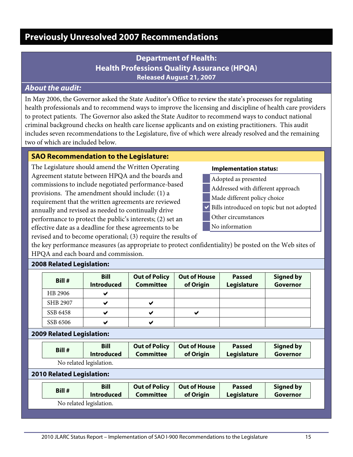# <span id="page-18-1"></span><span id="page-18-0"></span>**Previously Unresolved 2007 Recommendations**

# **Department of Health: Health Professions Quality Assurance (HPQA) Released August 21, 2007**

## *About the audit:*

In May 2006, the Governor asked the State Auditor's Office to review the state's processes for regulating health professionals and to recommend ways to improve the licensing and discipline of health care providers to protect patients. The Governor also asked the State Auditor to recommend ways to conduct national criminal background checks on health care license applicants and on existing practitioners. This audit includes seven recommendations to the Legislature, five of which were already resolved and the remaining two of which are included below.

#### **SAO Recommendation to the Legislature:**

The Legislature should amend the Written Operating Agreement statute between HPQA and the boards and commissions to include negotiated performance-based provisions. The amendment should include: (1) a requirement that the written agreements are reviewed annually and revised as needed to continually drive performance to protect the public's interests; (2) set an effective date as a deadline for these agreements to be revised and to become operational; (3) require the results of

#### **Implementation status:**

- Adopted as presented
- Addressed with different approach
- Made different policy choice
- Bills introduced on topic but not adopted
- Other circumstances
- No information

the key performance measures (as appropriate to protect confidentiality) be posted on the Web sites of HPQA and each board and commission.

| Bill #   | <b>Bill</b><br><b>Introduced</b> | <b>Out of Policy</b><br><b>Committee</b> | <b>Out of House</b><br>of Origin | <b>Passed</b><br>Legislature | <b>Signed by</b><br>Governor |
|----------|----------------------------------|------------------------------------------|----------------------------------|------------------------------|------------------------------|
| HB 2906  |                                  |                                          |                                  |                              |                              |
| SHB 2907 |                                  |                                          |                                  |                              |                              |
| SSB 6458 |                                  |                                          |                                  |                              |                              |
| SSB 6506 |                                  |                                          |                                  |                              |                              |

### **2008 Related Legislation:**

#### **2009 Related Legislation:**

| Bill #                  | <b>Bill</b>       | <b>Out of Policy</b> | <b>Out of House</b> | <b>Passed</b> | <b>Signed by</b> |  |
|-------------------------|-------------------|----------------------|---------------------|---------------|------------------|--|
|                         | <b>Introduced</b> | Committee            | of Origin           | Legislature   | Governor         |  |
| No related legislation. |                   |                      |                     |               |                  |  |

#### **2010 Related Legislation:**

| Bill #                  | <b>Bill</b>       | <b>Out of Policy</b> | <b>Out of House</b> | <b>Passed</b> | Signed by |  |
|-------------------------|-------------------|----------------------|---------------------|---------------|-----------|--|
|                         | <b>Introduced</b> | Committee            | of Origin           | Legislature   | Governor  |  |
| No related legislation. |                   |                      |                     |               |           |  |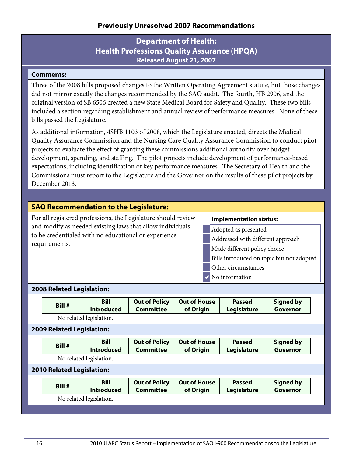# **Department of Health: Health Professions Quality Assurance (HPQA) Released August 21, 2007**

### **Comments:**

Three of the 2008 bills proposed changes to the Written Operating Agreement statute, but those changes did not mirror exactly the changes recommended by the SAO audit. The fourth, HB 2906, and the original version of SB 6506 created a new State Medical Board for Safety and Quality. These two bills included a section regarding establishment and annual review of performance measures. None of these bills passed the Legislature.

As additional information, 4SHB 1103 of 2008, which the Legislature enacted, directs the Medical Quality Assurance Commission and the Nursing Care Quality Assurance Commission to conduct pilot projects to evaluate the effect of granting these commissions additional authority over budget development, spending, and staffing. The pilot projects include development of performance-based expectations, including identification of key performance measures. The Secretary of Health and the Commissions must report to the Legislature and the Governor on the results of these pilot projects by December 2013.

## **SAO Recommendation to the Legislature:**

For all registered professions, the Legislature should review and modify as needed existing laws that allow individuals to be credentialed with no educational or experience requirements.

#### **Implementation status:**

- Adopted as presented
- Addressed with different approach
- Made different policy choice
- Bills introduced on topic but not adopted
- Other circumstances
- No information

#### **2008 Related Legislation:**

| Bill #                           | <b>Bill</b><br><b>Introduced</b> | <b>Out of Policy</b><br><b>Committee</b> | <b>Out of House</b><br>of Origin | <b>Passed</b><br>Legislature        | <b>Signed by</b><br>Governor |
|----------------------------------|----------------------------------|------------------------------------------|----------------------------------|-------------------------------------|------------------------------|
|                                  | No related legislation.          |                                          |                                  |                                     |                              |
| <b>2009 Related Legislation:</b> |                                  |                                          |                                  |                                     |                              |
| Bill #                           | <b>Bill</b><br><b>Introduced</b> | <b>Out of Policy</b><br><b>Committee</b> | <b>Out of House</b><br>of Origin | <b>Passed</b><br>Legislature        | <b>Signed by</b><br>Governor |
|                                  | No related legislation.          |                                          |                                  |                                     |                              |
| <b>2010 Related Legislation:</b> |                                  |                                          |                                  |                                     |                              |
| Bill #                           | <b>Bill</b><br><b>Introduced</b> | <b>Out of Policy</b><br><b>Committee</b> | <b>Out of House</b><br>of Origin | <b>Passed</b><br><b>Legislature</b> | <b>Signed by</b><br>Governor |
|                                  | No related legislation.          |                                          |                                  |                                     |                              |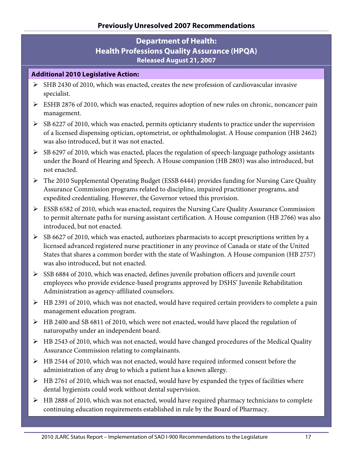# **Department of Health: Health Professions Quality Assurance (HPQA) Released August 21, 2007**

- SHB 2430 of 2010, which was enacted, creates the new profession of cardiovascular invasive specialist.
- ESHB 2876 of 2010, which was enacted, requires adoption of new rules on chronic, noncancer pain management.
- SB 6227 of 2010, which was enacted, permits opticianry students to practice under the supervision of a licensed dispensing optician, optometrist, or ophthalmologist. A House companion (HB 2462) was also introduced, but it was not enacted.
- $\triangleright$  SB 6297 of 2010, which was enacted, places the regulation of speech-language pathology assistants under the Board of Hearing and Speech. A House companion (HB 2803) was also introduced, but not enacted.
- The 2010 Supplemental Operating Budget (ESSB 6444) provides funding for Nursing Care Quality Assurance Commission programs related to discipline, impaired practitioner programs, and expedited credentialing. However, the Governor vetoed this provision.
- ESSB 6582 of 2010, which was enacted, requires the Nursing Care Quality Assurance Commission to permit alternate paths for nursing assistant certification. A House companion (HB 2766) was also introduced, but not enacted.
- $\triangleright$  SB 6627 of 2010, which was enacted, authorizes pharmacists to accept prescriptions written by a licensed advanced registered nurse practitioner in any province of Canada or state of the United States that shares a common border with the state of Washington. A House companion (HB 2757) was also introduced, but not enacted.
- $\triangleright$  SSB 6884 of 2010, which was enacted, defines juvenile probation officers and juvenile court employees who provide evidence-based programs approved by DSHS' Juvenile Rehabilitation Administration as agency-affiliated counselors.
- HB 2391 of 2010, which was not enacted, would have required certain providers to complete a pain management education program.
- HB 2400 and SB 6811 of 2010, which were not enacted, would have placed the regulation of naturopathy under an independent board.
- $\triangleright$  HB 2543 of 2010, which was not enacted, would have changed procedures of the Medical Quality Assurance Commission relating to complainants.
- HB 2544 of 2010, which was not enacted, would have required informed consent before the administration of any drug to which a patient has a known allergy.
- $\triangleright$  HB 2761 of 2010, which was not enacted, would have by expanded the types of facilities where dental hygienists could work without dental supervision.
- $\triangleright$  HB 2888 of 2010, which was not enacted, would have required pharmacy technicians to complete continuing education requirements established in rule by the Board of Pharmacy.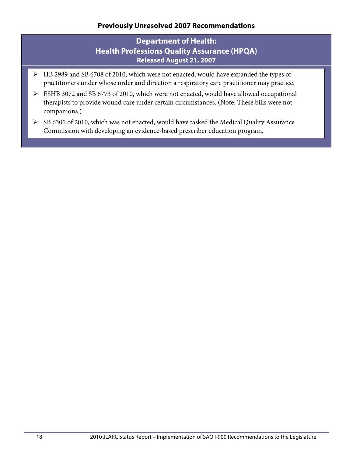# **Department of Health: Health Professions Quality Assurance (HPQA) Released August 21, 2007**

- HB 2989 and SB 6708 of 2010, which were not enacted, would have expanded the types of practitioners under whose order and direction a respiratory care practitioner may practice.
- ESHB 3072 and SB 6773 of 2010, which were not enacted, would have allowed occupational therapists to provide wound care under certain circumstances. (Note: These bills were not companions.)
- $\triangleright$  SB 6305 of 2010, which was not enacted, would have tasked the Medical Quality Assurance Commission with developing an evidence-based prescriber education program.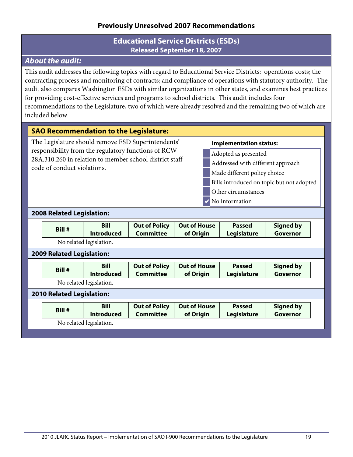## **Educational Service Districts (ESDs) Released September 18, 2007**

# <span id="page-22-0"></span>*About the audit:*

This audit addresses the following topics with regard to Educational Service Districts: operations costs; the contracting process and monitoring of contracts; and compliance of operations with statutory authority. The audit also compares Washington ESDs with similar organizations in other states, and examines best practices for providing cost-effective services and programs to school districts. This audit includes four recommendations to the Legislature, two of which were already resolved and the remaining two of which are included below.

#### **SAO Recommendation to the Legislature:**

The Legislature should remove ESD Superintendents' responsibility from the regulatory functions of RCW 28A.310.260 in relation to member school district staff code of conduct violations.

#### **Implementation status:**

Adopted as presented Addressed with different approach Made different policy choice Bills introduced on topic but not adopted Other circumstances No information

#### **2008 Related Legislation:**

| Bill #                           | <b>Bill</b><br><b>Introduced</b> | <b>Out of Policy</b><br><b>Committee</b> | <b>Out of House</b><br>of Origin | <b>Passed</b><br>Legislature | <b>Signed by</b><br>Governor |
|----------------------------------|----------------------------------|------------------------------------------|----------------------------------|------------------------------|------------------------------|
|                                  | No related legislation.          |                                          |                                  |                              |                              |
| <b>2009 Related Legislation:</b> |                                  |                                          |                                  |                              |                              |
| Bill #                           | <b>Bill</b><br><b>Introduced</b> | <b>Out of Policy</b><br><b>Committee</b> | <b>Out of House</b><br>of Origin | <b>Passed</b><br>Legislature | <b>Signed by</b><br>Governor |
|                                  | No related legislation.          |                                          |                                  |                              |                              |
| <b>2010 Related Legislation:</b> |                                  |                                          |                                  |                              |                              |
| Bill #                           | <b>Bill</b><br><b>Introduced</b> | <b>Out of Policy</b><br><b>Committee</b> | <b>Out of House</b><br>of Origin | <b>Passed</b><br>Legislature | <b>Signed by</b><br>Governor |
|                                  | No related legislation.          |                                          |                                  |                              |                              |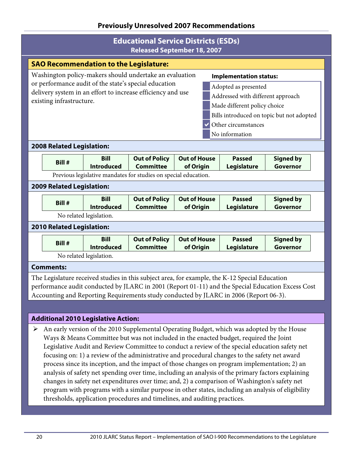## **Educational Service Districts (ESDs) Released September 18, 2007**

| Released September 18, 2007                   |                                                             |                         |                                                                 |                              |                                   |                  |  |  |
|-----------------------------------------------|-------------------------------------------------------------|-------------------------|-----------------------------------------------------------------|------------------------------|-----------------------------------|------------------|--|--|
| <b>SAO Recommendation to the Legislature:</b> |                                                             |                         |                                                                 |                              |                                   |                  |  |  |
|                                               |                                                             |                         | Washington policy-makers should undertake an evaluation         |                              | <b>Implementation status:</b>     |                  |  |  |
|                                               |                                                             |                         | or performance audit of the state's special education           |                              | Adopted as presented              |                  |  |  |
|                                               | delivery system in an effort to increase efficiency and use |                         |                                                                 |                              | Addressed with different approach |                  |  |  |
|                                               | existing infrastructure.                                    |                         |                                                                 | Made different policy choice |                                   |                  |  |  |
|                                               | Bills introduced on topic but not adopted                   |                         |                                                                 |                              |                                   |                  |  |  |
|                                               | Other circumstances                                         |                         |                                                                 |                              |                                   |                  |  |  |
| No information                                |                                                             |                         |                                                                 |                              |                                   |                  |  |  |
|                                               |                                                             |                         |                                                                 |                              |                                   |                  |  |  |
|                                               | <b>2008 Related Legislation:</b>                            |                         |                                                                 |                              |                                   |                  |  |  |
|                                               |                                                             | <b>Bill</b>             | <b>Out of Policy</b>                                            | <b>Out of House</b>          | <b>Passed</b>                     | <b>Signed by</b> |  |  |
|                                               | Bill #                                                      | <b>Introduced</b>       | <b>Committee</b>                                                | of Origin                    | Legislature                       | Governor         |  |  |
|                                               |                                                             |                         | Previous legislative mandates for studies on special education. |                              |                                   |                  |  |  |
|                                               | <b>2009 Related Legislation:</b>                            |                         |                                                                 |                              |                                   |                  |  |  |
|                                               | Bill #                                                      | <b>Bill</b>             | <b>Out of Policy</b>                                            | <b>Out of House</b>          | <b>Passed</b>                     | <b>Signed by</b> |  |  |
|                                               |                                                             | <b>Introduced</b>       | <b>Committee</b>                                                | of Origin                    | Legislature                       | Governor         |  |  |
|                                               |                                                             | No related legislation. |                                                                 |                              |                                   |                  |  |  |
|                                               | <b>2010 Related Legislation:</b>                            |                         |                                                                 |                              |                                   |                  |  |  |
|                                               |                                                             | <b>Bill</b>             | <b>Out of Policy</b>                                            | <b>Out of House</b>          | <b>Passed</b>                     | <b>Signed by</b> |  |  |
|                                               | Bill #                                                      | <b>Introduced</b>       | <b>Committee</b>                                                | of Origin                    | Legislature                       | Governor         |  |  |
|                                               |                                                             | No related legislation. |                                                                 |                              |                                   |                  |  |  |
|                                               | <b>Comments:</b>                                            |                         |                                                                 |                              |                                   |                  |  |  |
|                                               |                                                             |                         |                                                                 |                              |                                   |                  |  |  |

The Legislature received studies in this subject area, for example, the K-12 Special Education performance audit conducted by JLARC in 2001 (Report 01-11) and the Special Education Excess Cost Accounting and Reporting Requirements study conducted by JLARC in 2006 (Report 06-3).

## **Additional 2010 Legislative Action:**

 $\triangleright$  An early version of the 2010 Supplemental Operating Budget, which was adopted by the House Ways & Means Committee but was not included in the enacted budget, required the Joint Legislative Audit and Review Committee to conduct a review of the special education safety net focusing on: 1) a review of the administrative and procedural changes to the safety net award process since its inception, and the impact of those changes on program implementation; 2) an analysis of safety net spending over time, including an analysis of the primary factors explaining changes in safety net expenditures over time; and, 2) a comparison of Washington's safety net program with programs with a similar purpose in other states, including an analysis of eligibility thresholds, application procedures and timelines, and auditing practices.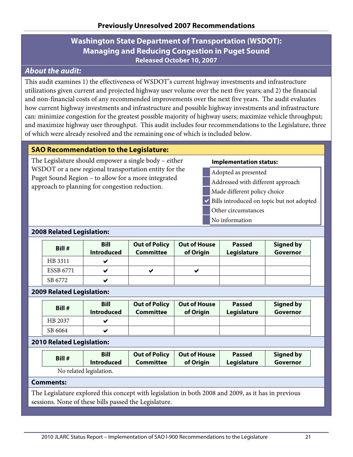# **Washington State Department of Transportation (WSDOT): Managing and Reducing Congestion in Puget Sound Released October 10, 2007**

# <span id="page-24-0"></span>*About the audit:*

This audit examines 1) the effectiveness of WSDOT's current highway investments and infrastructure utilizations given current and projected highway user volume over the next five years; and 2) the financial and non-financial costs of any recommended improvements over the next five years. The audit evaluates how current highway investments and infrastructure and possible highway investments and infrastructure can: minimize congestion for the greatest possible majority of highway users; maximize vehicle throughput; and maximize highway user throughput. This audit includes four recommendations to the Legislature, three of which were already resolved and the remaining one of which is included below.

## **SAO Recommendation to the Legislature:**

The Legislature should empower a single body – either WSDOT or a new regional transportation entity for the Puget Sound Region – to allow for a more integrated approach to planning for congestion reduction.

#### **Implementation status:**

- Adopted as presented
- Addressed with different approach
- Made different policy choice
- $\vee$  Bills introduced on topic but not adopted
- Other circumstances
- No information

#### **2008 Related Legislation:**

| Bill #           | <b>Bill</b><br><b>Introduced</b> | <b>Out of Policy</b><br><b>Committee</b> | <b>Out of House</b><br>of Origin | <b>Passed</b><br>Legislature | <b>Signed by</b><br>Governor |
|------------------|----------------------------------|------------------------------------------|----------------------------------|------------------------------|------------------------------|
| HB 3311          |                                  |                                          |                                  |                              |                              |
| <b>ESSB 6771</b> |                                  | ✔                                        | v                                |                              |                              |
| SB 6772          |                                  |                                          |                                  |                              |                              |

#### **2009 Related Legislation:**

| Bill #  | <b>Bill</b><br><b>Introduced</b> | <b>Out of Policy</b><br><b>Committee</b> | <b>Out of House</b><br>of Origin | <b>Passed</b><br>Legislature | <b>Signed by</b><br>Governor |
|---------|----------------------------------|------------------------------------------|----------------------------------|------------------------------|------------------------------|
| HB 2037 |                                  |                                          |                                  |                              |                              |
| SB 6064 |                                  |                                          |                                  |                              |                              |

#### **2010 Related Legislation:**

| Bill #                 | <b>Bill</b>       | <b>Out of Policy</b> | <b>Out of House</b> | <b>Passed</b> | <b>Signed by</b> |  |  |
|------------------------|-------------------|----------------------|---------------------|---------------|------------------|--|--|
|                        | <b>Introduced</b> | <b>Committee</b>     | of Origin           | Legislature   | Governor         |  |  |
| No related legislation |                   |                      |                     |               |                  |  |  |

No related legislation.

#### **Comments:**

The Legislature explored this concept with legislation in both 2008 and 2009, as it has in previous sessions. None of these bills passed the Legislature.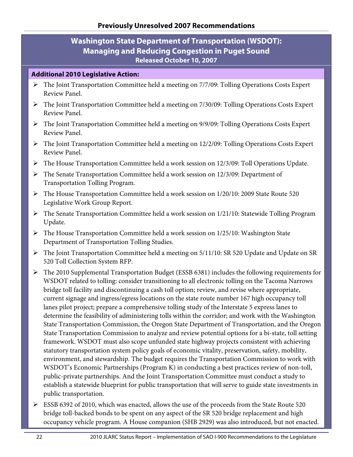# **Washington State Department of Transportation (WSDOT): Managing and Reducing Congestion in Puget Sound Released October 10, 2007**

- The Joint Transportation Committee held a meeting on 7/7/09: Tolling Operations Costs Expert Review Panel.
- The Joint Transportation Committee held a meeting on 7/30/09: Tolling Operations Costs Expert Review Panel.
- The Joint Transportation Committee held a meeting on 9/9/09: Tolling Operations Costs Expert Review Panel.
- $\triangleright$  The Joint Transportation Committee held a meeting on 12/2/09: Tolling Operations Costs Expert Review Panel.
- The House Transportation Committee held a work session on 12/3/09: Toll Operations Update.
- The Senate Transportation Committee held a work session on 12/3/09: Department of Transportation Tolling Program.
- The House Transportation Committee held a work session on 1/20/10: 2009 State Route 520 Legislative Work Group Report.
- The Senate Transportation Committee held a work session on 1/21/10: Statewide Tolling Program Update.
- The House Transportation Committee held a work session on 1/25/10: Washington State Department of Transportation Tolling Studies.
- The Joint Transportation Committee held a meeting on 5/11/10: SR 520 Update and Update on SR 520 Toll Collection System RFP.
- The 2010 Supplemental Transportation Budget (ESSB 6381) includes the following requirements for WSDOT related to tolling: consider transitioning to all electronic tolling on the Tacoma Narrows bridge toll facility and discontinuing a cash toll option; review, and revise where appropriate, current signage and ingress/egress locations on the state route number 167 high occupancy toll lanes pilot project; prepare a comprehensive tolling study of the Interstate 5 express lanes to determine the feasibility of administering tolls within the corridor; and work with the Washington State Transportation Commission, the Oregon State Department of Transportation, and the Oregon State Transportation Commission to analyze and review potential options for a bi-state, toll setting framework. WSDOT must also scope unfunded state highway projects consistent with achieving statutory transportation system policy goals of economic vitality, preservation, safety, mobility, environment, and stewardship. The budget requires the Transportation Commission to work with WSDOT's Economic Partnerships (Program K) in conducting a best practices review of non-toll, public-private partnerships. And the Joint Transportation Committee must conduct a study to establish a statewide blueprint for public transportation that will serve to guide state investments in public transportation.
- ESSB 6392 of 2010, which was enacted, allows the use of the proceeds from the State Route 520 bridge toll-backed bonds to be spent on any aspect of the SR 520 bridge replacement and high occupancy vehicle program. A House companion (SHB 2929) was also introduced, but not enacted.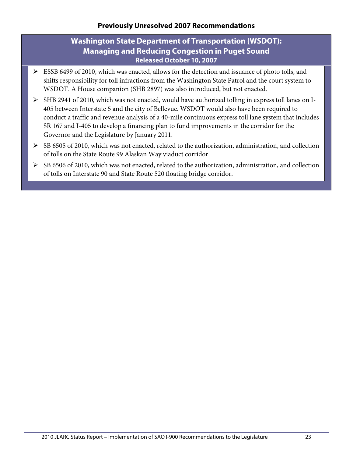# **Washington State Department of Transportation (WSDOT): Managing and Reducing Congestion in Puget Sound Released October 10, 2007**

- ESSB 6499 of 2010, which was enacted, allows for the detection and issuance of photo tolls, and shifts responsibility for toll infractions from the Washington State Patrol and the court system to WSDOT. A House companion (SHB 2897) was also introduced, but not enacted.
- SHB 2941 of 2010, which was not enacted, would have authorized tolling in express toll lanes on I-405 between Interstate 5 and the city of Bellevue. WSDOT would also have been required to conduct a traffic and revenue analysis of a 40-mile continuous express toll lane system that includes SR 167 and I-405 to develop a financing plan to fund improvements in the corridor for the Governor and the Legislature by January 2011.
- $\triangleright$  SB 6505 of 2010, which was not enacted, related to the authorization, administration, and collection of tolls on the State Route 99 Alaskan Way viaduct corridor.
- $\triangleright$  SB 6506 of 2010, which was not enacted, related to the authorization, administration, and collection of tolls on Interstate 90 and State Route 520 floating bridge corridor.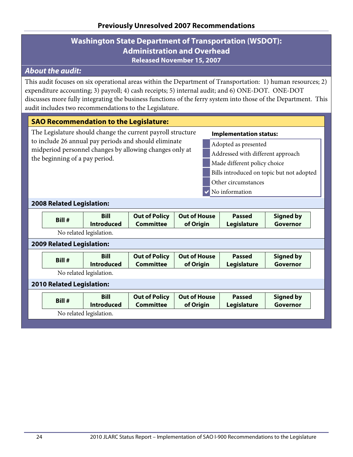## **Washington State Department of Transportation (WSDOT): Administration and Overhead Released November 15, 2007**

## <span id="page-27-0"></span>*About the audit:*

This audit focuses on six operational areas within the Department of Transportation: 1) human resources; 2) expenditure accounting; 3) payroll; 4) cash receipts; 5) internal audit; and 6) ONE-DOT. ONE-DOT discusses more fully integrating the business functions of the ferry system into those of the Department. This audit includes two recommendations to the Legislature.

## **SAO Recommendation to the Legislature:**

The Legislature should change the current payroll structure to include 26 annual pay periods and should eliminate midperiod personnel changes by allowing changes only at the beginning of a pay period.

#### **Implementation status:**

Adopted as presented

- Addressed with different approach
- Made different policy choice
- Bills introduced on topic but not adopted
- Other circumstances
- $\vee$  No information

#### **2008 Related Legislation:**

| Bill #                           | <b>Bill</b><br><b>Introduced</b> | <b>Out of Policy</b><br><b>Committee</b> | <b>Out of House</b><br>of Origin | <b>Passed</b><br>Legislature | <b>Signed by</b><br>Governor |
|----------------------------------|----------------------------------|------------------------------------------|----------------------------------|------------------------------|------------------------------|
|                                  | No related legislation.          |                                          |                                  |                              |                              |
| <b>2009 Related Legislation:</b> |                                  |                                          |                                  |                              |                              |
| Bill #                           | <b>Bill</b><br><b>Introduced</b> | <b>Out of Policy</b><br><b>Committee</b> | <b>Out of House</b><br>of Origin | <b>Passed</b><br>Legislature | <b>Signed by</b><br>Governor |
|                                  | No related legislation.          |                                          |                                  |                              |                              |
| <b>2010 Related Legislation:</b> |                                  |                                          |                                  |                              |                              |
| Bill #                           | <b>Bill</b><br><b>Introduced</b> | <b>Out of Policy</b><br><b>Committee</b> | <b>Out of House</b><br>of Origin | <b>Passed</b><br>Legislature | <b>Signed by</b><br>Governor |
|                                  | No related legislation.          |                                          |                                  |                              |                              |